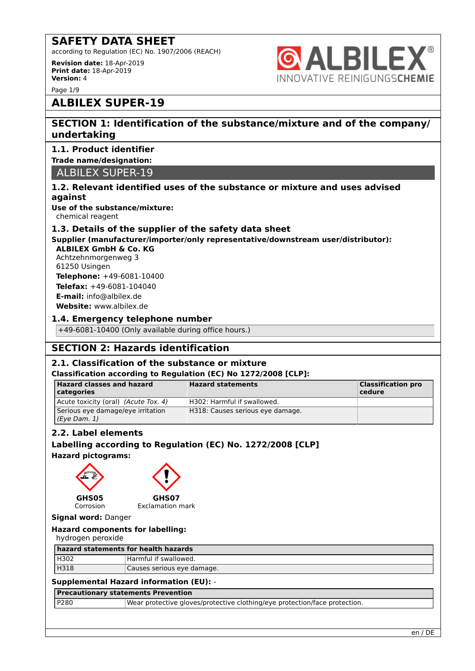according to Regulation (EC) No. 1907/2006 (REACH)

**Revision date:** 18-Apr-2019 **Print date:** 18-Apr-2019 **Version:** 4



# **ALBILEX SUPER-19**

## **SECTION 1: Identification of the substance/mixture and of the company/ undertaking**

**ALBILEX®** 

INNOVATIVE REINIGUNGSCHEMIE

### **1.1. Product identifier**

### **Trade name/designation:**

ALBILEX SUPER-19

### **1.2. Relevant identified uses of the substance or mixture and uses advised against**

**Use of the substance/mixture:** chemical reagent

### **1.3. Details of the supplier of the safety data sheet**

**Supplier (manufacturer/importer/only representative/downstream user/distributor):**

**ALBILEX GmbH & Co. KG** Achtzehnmorgenweg 3 61250 Usingen **Telephone:** +49-6081-10400 **Telefax:** +49-6081-104040 **E-mail:** info@albilex.de **Website:** www.albilex.de

### **1.4. Emergency telephone number**

+49-6081-10400 (Only available during office hours.)

# **SECTION 2: Hazards identification**

### **2.1. Classification of the substance or mixture**

### **Classification according to Regulation (EC) No 1272/2008 [CLP]:**

| <b>Hazard classes and hazard</b><br>  categories  | <b>Hazard statements</b>         | <b>Classification pro</b><br>$ $ cedure |
|---------------------------------------------------|----------------------------------|-----------------------------------------|
| Acute toxicity (oral) (Acute Tox. 4)              | H302: Harmful if swallowed.      |                                         |
| Serious eye damage/eye irritation<br>(Eve Dam. 1) | H318: Causes serious eye damage. |                                         |

### **2.2. Label elements**

### **Labelling according to Regulation (EC) No. 1272/2008 [CLP]**

**Hazard pictograms:**





**GHS07**

Corrosion Exclamation mark

### **Signal word:** Danger

| <b>Hazard components for labelling:</b> |  |
|-----------------------------------------|--|
|-----------------------------------------|--|

### hydrogen peroxide

| hazard statements for health hazards |                            |
|--------------------------------------|----------------------------|
| H302                                 | Harmful if swallowed.      |
| H318                                 | Causes serious eye damage. |

### **Supplemental Hazard information (EU):** -

### **Precautionary statements Prevention**

| P280 | Wear protective gloves/protective clothing/eye protection/face protection. |
|------|----------------------------------------------------------------------------|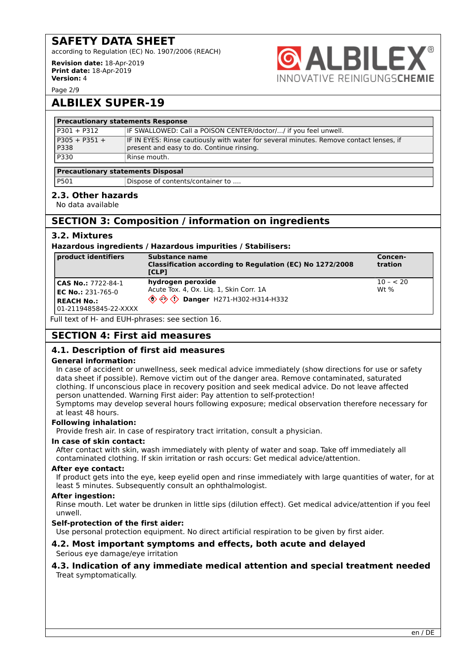according to Regulation (EC) No. 1907/2006 (REACH)

**Revision date:** 18-Apr-2019 **Print date:** 18-Apr-2019 **Version:** 4



Page 2/9

# **ALBILEX SUPER-19**

| <b>Precautionary statements Response</b> |                                                                                        |  |  |
|------------------------------------------|----------------------------------------------------------------------------------------|--|--|
| P301 + P312                              | IF SWALLOWED: Call a POISON CENTER/doctor// if you feel unwell.                        |  |  |
| P305 + P351 +                            | IF IN EYES: Rinse cautiously with water for several minutes. Remove contact lenses, if |  |  |
| P338                                     | present and easy to do. Continue rinsing.                                              |  |  |
| P330                                     | ' Rinse mouth.                                                                         |  |  |
|                                          |                                                                                        |  |  |

### **Precautionary statements Disposal**

|  | ۰,<br>I<br>۰.<br>× | I<br>×<br>۰. |  |
|--|--------------------|--------------|--|
|  |                    |              |  |

01 Dispose of contents/container to ....

### **2.3. Other hazards**

No data available

# **SECTION 3: Composition / information on ingredients**

### **3.2. Mixtures**

### **Hazardous ingredients / Hazardous impurities / Stabilisers:**

| product identifiers                                                                          | Substance name<br>Classification according to Regulation (EC) No 1272/2008<br><b>TCLPT</b>                                                                     | Concen-<br>tration  |
|----------------------------------------------------------------------------------------------|----------------------------------------------------------------------------------------------------------------------------------------------------------------|---------------------|
| CAS No.: 7722-84-1<br><b>EC No.: 231-765-0</b><br><b>REACH No.:</b><br>01-2119485845-22-XXXX | hydrogen peroxide<br>Acute Tox. 4, Ox. Lig. 1, Skin Corr. 1A<br>$\langle \hat{\textbf{Q}} \rangle \langle \hat{\textbf{Q}} \rangle$ Danger H271-H302-H314-H332 | $10 - 20$<br>Wt $%$ |

Full text of H- and EUH-phrases: see section 16.

# **SECTION 4: First aid measures**

### **4.1. Description of first aid measures**

### **General information:**

In case of accident or unwellness, seek medical advice immediately (show directions for use or safety data sheet if possible). Remove victim out of the danger area. Remove contaminated, saturated clothing. If unconscious place in recovery position and seek medical advice. Do not leave affected person unattended. Warning First aider: Pay attention to self-protection!

Symptoms may develop several hours following exposure; medical observation therefore necessary for at least 48 hours.

### **Following inhalation:**

Provide fresh air. In case of respiratory tract irritation, consult a physician.

### **In case of skin contact:**

After contact with skin, wash immediately with plenty of water and soap. Take off immediately all contaminated clothing. If skin irritation or rash occurs: Get medical advice/attention.

### **After eye contact:**

If product gets into the eye, keep eyelid open and rinse immediately with large quantities of water, for at least 5 minutes. Subsequently consult an ophthalmologist.

### **After ingestion:**

Rinse mouth. Let water be drunken in little sips (dilution effect). Get medical advice/attention if you feel unwell.

### **Self-protection of the first aider:**

Use personal protection equipment. No direct artificial respiration to be given by first aider.

### **4.2. Most important symptoms and effects, both acute and delayed** Serious eye damage/eye irritation

### **4.3. Indication of any immediate medical attention and special treatment needed** Treat symptomatically.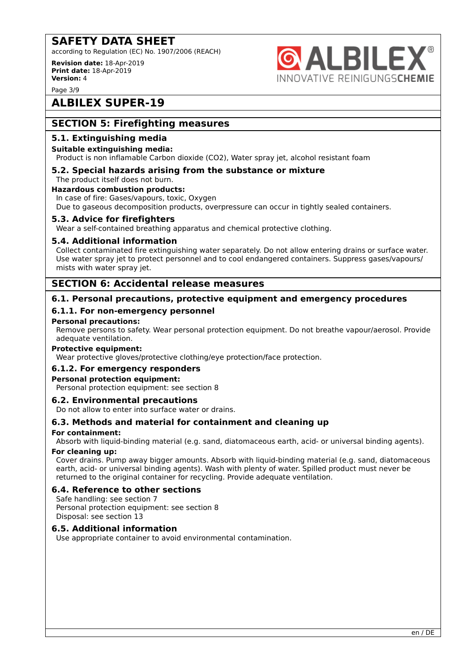according to Regulation (EC) No. 1907/2006 (REACH)

**Revision date:** 18-Apr-2019 **Print date:** 18-Apr-2019 **Version:** 4

**ALBILE NNOVATIVE REINIGUNGSCHEMIE** 

Page 3/9

# **ALBILEX SUPER-19**

## **SECTION 5: Firefighting measures**

### **5.1. Extinguishing media**

### **Suitable extinguishing media:**

Product is non inflamable Carbon dioxide (CO2), Water spray jet, alcohol resistant foam

# **5.2. Special hazards arising from the substance or mixture**

The product itself does not burn.

# **Hazardous combustion products:**

In case of fire: Gases/vapours, toxic, Oxygen Due to gaseous decomposition products, overpressure can occur in tightly sealed containers.

### **5.3. Advice for firefighters**

Wear a self-contained breathing apparatus and chemical protective clothing.

### **5.4. Additional information**

Collect contaminated fire extinguishing water separately. Do not allow entering drains or surface water. Use water spray jet to protect personnel and to cool endangered containers. Suppress gases/vapours/ mists with water spray jet.

### **SECTION 6: Accidental release measures**

### **6.1. Personal precautions, protective equipment and emergency procedures**

### **6.1.1. For non-emergency personnel**

### **Personal precautions:**

Remove persons to safety. Wear personal protection equipment. Do not breathe vapour/aerosol. Provide adequate ventilation.

### **Protective equipment:**

Wear protective gloves/protective clothing/eye protection/face protection.

### **6.1.2. For emergency responders**

### **Personal protection equipment:**

Personal protection equipment: see section 8

### **6.2. Environmental precautions**

Do not allow to enter into surface water or drains.

### **6.3. Methods and material for containment and cleaning up**

### **For containment:**

Absorb with liquid-binding material (e.g. sand, diatomaceous earth, acid- or universal binding agents).

### **For cleaning up:**

Cover drains. Pump away bigger amounts. Absorb with liquid-binding material (e.g. sand, diatomaceous earth, acid- or universal binding agents). Wash with plenty of water. Spilled product must never be returned to the original container for recycling. Provide adequate ventilation.

### **6.4. Reference to other sections**

Safe handling: see section 7

Personal protection equipment: see section 8 Disposal: see section 13

### **6.5. Additional information**

Use appropriate container to avoid environmental contamination.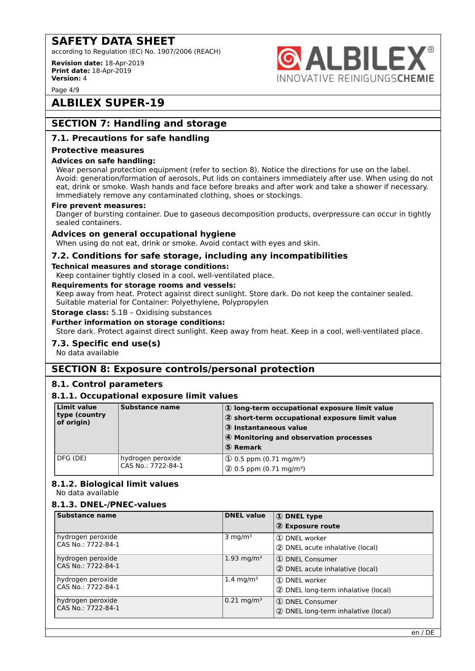according to Regulation (EC) No. 1907/2006 (REACH)

**Revision date:** 18-Apr-2019 **Print date:** 18-Apr-2019 **Version:** 4

Page 4/9

# **ALBILEX SUPER-19**

# **SECTION 7: Handling and storage**

### **7.1. Precautions for safe handling**

### **Protective measures**

### **Advices on safe handling:**

Wear personal protection equipment (refer to section 8). Notice the directions for use on the label. Avoid: generation/formation of aerosols, Put lids on containers immediately after use. When using do not eat, drink or smoke. Wash hands and face before breaks and after work and take a shower if necessary. Immediately remove any contaminated clothing, shoes or stockings.

**ALBILE** 

NNOVATIVE REINIGUNGS**CHEMIE** 

### **Fire prevent measures:**

Danger of bursting container. Due to gaseous decomposition products, overpressure can occur in tightly sealed containers.

### **Advices on general occupational hygiene**

When using do not eat, drink or smoke. Avoid contact with eyes and skin.

### **7.2. Conditions for safe storage, including any incompatibilities**

### **Technical measures and storage conditions:**

Keep container tightly closed in a cool, well-ventilated place.

### **Requirements for storage rooms and vessels:**

Keep away from heat. Protect against direct sunlight. Store dark. Do not keep the container sealed. Suitable material for Container: Polyethylene, Polypropylen

### **Storage class:** 5.1B – Oxidising substances

**Further information on storage conditions:**

Store dark. Protect against direct sunlight. Keep away from heat. Keep in a cool, well-ventilated place.

### **7.3. Specific end use(s)**

No data available

### **SECTION 8: Exposure controls/personal protection**

### **8.1. Control parameters**

### **8.1.1. Occupational exposure limit values**

| Limit value<br>type (country<br>of origin) | Substance name                          | 1) long-term occupational exposure limit value<br>2 short-term occupational exposure limit value<br>3 Instantaneous value<br>4 Monitoring and observation processes<br>5 Remark |
|--------------------------------------------|-----------------------------------------|---------------------------------------------------------------------------------------------------------------------------------------------------------------------------------|
| DFG (DE)                                   | hydrogen peroxide<br>CAS No.: 7722-84-1 | $(1)$ 0.5 ppm (0.71 mg/m <sup>3</sup> )<br>$(2)$ 0.5 ppm (0.71 mg/m <sup>3</sup> )                                                                                              |

### **8.1.2. Biological limit values**

No data available

### **8.1.3. DNEL-/PNEC-values**

| <b>Substance name</b>                   | <b>DNEL</b> value      | 1 DNEL type<br>2 Exposure route                        |
|-----------------------------------------|------------------------|--------------------------------------------------------|
| hydrogen peroxide<br>CAS No.: 7722-84-1 | 3 mg/m <sup>3</sup>    | 1 DNEL worker<br>2 DNEL acute inhalative (local)       |
| hydrogen peroxide<br>CAS No.: 7722-84-1 | 1.93 mg/m <sup>3</sup> | 1 DNEL Consumer<br>2 DNEL acute inhalative (local)     |
| hydrogen peroxide<br>CAS No.: 7722-84-1 | 1.4 mg/m <sup>3</sup>  | 1 DNEL worker<br>2 DNEL long-term inhalative (local)   |
| hydrogen peroxide<br>CAS No.: 7722-84-1 | $0.21 \text{ mg/m}^3$  | 1 DNEL Consumer<br>2 DNEL long-term inhalative (local) |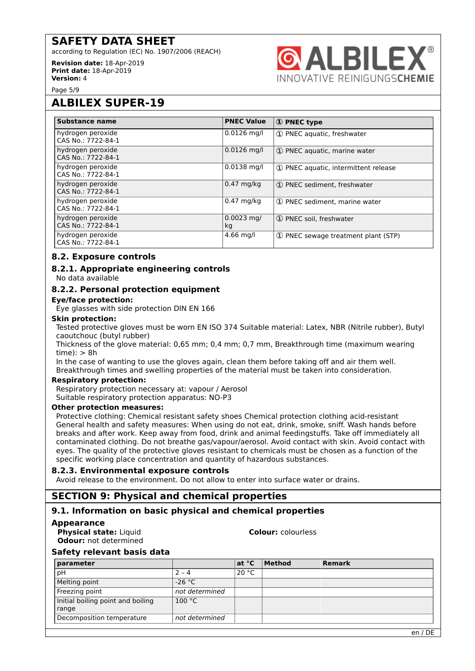according to Regulation (EC) No. 1907/2006 (REACH)

**Revision date:** 18-Apr-2019 **Print date:** 18-Apr-2019 **Version:** 4



Page 5/9

# **ALBILEX SUPER-19**

| Substance name                          | <b>PNEC Value</b>  | 1 PNEC type                           |
|-----------------------------------------|--------------------|---------------------------------------|
| hydrogen peroxide<br>CAS No.: 7722-84-1 | $0.0126$ mg/l      | 1 PNEC aquatic, freshwater            |
| hydrogen peroxide<br>CAS No.: 7722-84-1 | $0.0126$ mg/l      | 1) PNEC aquatic, marine water         |
| hydrogen peroxide<br>CAS No.: 7722-84-1 | $0.0138$ mg/l      | 1) PNEC aquatic, intermittent release |
| hydrogen peroxide<br>CAS No.: 7722-84-1 | $0.47$ mg/kg       | 1) PNEC sediment, freshwater          |
| hydrogen peroxide<br>CAS No.: 7722-84-1 | $0.47$ mg/kg       | 1) PNEC sediment, marine water        |
| hydrogen peroxide<br>CAS No.: 7722-84-1 | $0.0023$ mg/<br>kg | 1 PNEC soil, freshwater               |
| hydrogen peroxide<br>CAS No.: 7722-84-1 | $4.66$ mg/l        | 1 PNEC sewage treatment plant (STP)   |

### **8.2. Exposure controls**

### **8.2.1. Appropriate engineering controls** No data available

### **8.2.2. Personal protection equipment**

### **Eye/face protection:**

Eye glasses with side protection DIN EN 166

### **Skin protection:**

Tested protective gloves must be worn EN ISO 374 Suitable material: Latex, NBR (Nitrile rubber), Butyl caoutchouc (butyl rubber)

Thickness of the glove material: 0,65 mm; 0,4 mm; 0,7 mm, Breakthrough time (maximum wearing  $time$ :  $> 8h$ 

In the case of wanting to use the gloves again, clean them before taking off and air them well. Breakthrough times and swelling properties of the material must be taken into consideration.

### **Respiratory protection:**

Respiratory protection necessary at: vapour / Aerosol Suitable respiratory protection apparatus: NO-P3

### **Other protection measures:**

Protective clothing: Chemical resistant safety shoes Chemical protection clothing acid-resistant General health and safety measures: When using do not eat, drink, smoke, sniff. Wash hands before breaks and after work. Keep away from food, drink and animal feedingstuffs. Take off immediately all contaminated clothing. Do not breathe gas/vapour/aerosol. Avoid contact with skin. Avoid contact with eyes. The quality of the protective gloves resistant to chemicals must be chosen as a function of the specific working place concentration and quantity of hazardous substances.

### **8.2.3. Environmental exposure controls**

Avoid release to the environment. Do not allow to enter into surface water or drains.

# **SECTION 9: Physical and chemical properties**

### **9.1. Information on basic physical and chemical properties**

- **Appearance**
	- **Physical state:** Liquid **Colour: Colour:** *colourless* **Odour:** not determined

### **Safety relevant basis data**

| parameter                         |                | at °C | Method | <b>Remark</b> |
|-----------------------------------|----------------|-------|--------|---------------|
| рH                                | $2 - 4$        | 20 °C |        |               |
| Melting point                     | -26 °C         |       |        |               |
| Freezing point                    | not determined |       |        |               |
| Initial boiling point and boiling | 100 °C         |       |        |               |
| range                             |                |       |        |               |
| Decomposition temperature         | not determined |       |        |               |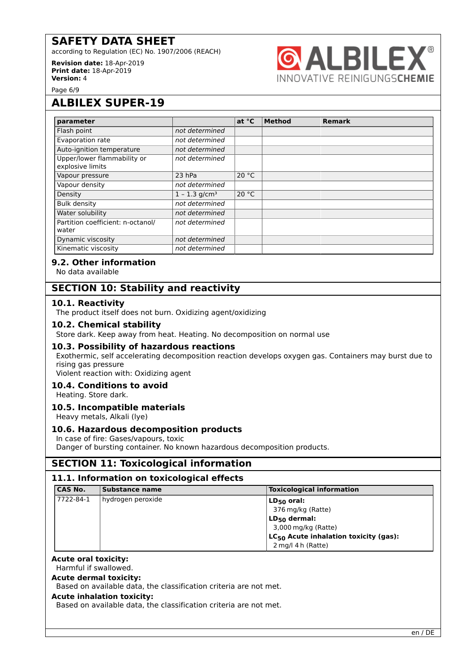according to Regulation (EC) No. 1907/2006 (REACH)

**Revision date:** 18-Apr-2019 **Print date:** 18-Apr-2019 **Version:** 4



Page 6/9

# **ALBILEX SUPER-19**

| parameter                                       |                             | at $^{\circ}$ C | <b>Method</b> | <b>Remark</b> |  |
|-------------------------------------------------|-----------------------------|-----------------|---------------|---------------|--|
| Flash point                                     | not determined              |                 |               |               |  |
| Evaporation rate                                | not determined              |                 |               |               |  |
| Auto-ignition temperature                       | not determined              |                 |               |               |  |
| Upper/lower flammability or<br>explosive limits | not determined              |                 |               |               |  |
| Vapour pressure                                 | $23$ hPa                    | 20 °C           |               |               |  |
| Vapour density                                  | not determined              |                 |               |               |  |
| Density                                         | $1 - 1.3$ g/cm <sup>3</sup> | 20 °C           |               |               |  |
| <b>Bulk density</b>                             | not determined              |                 |               |               |  |
| Water solubility                                | not determined              |                 |               |               |  |
| Partition coefficient: n-octanol/<br>water      | not determined              |                 |               |               |  |
| Dynamic viscosity                               | not determined              |                 |               |               |  |
| Kinematic viscosity                             | not determined              |                 |               |               |  |

### **9.2. Other information**

No data available

### **SECTION 10: Stability and reactivity**

### **10.1. Reactivity**

The product itself does not burn. Oxidizing agent/oxidizing

### **10.2. Chemical stability**

Store dark. Keep away from heat. Heating. No decomposition on normal use

### **10.3. Possibility of hazardous reactions**

Exothermic, self accelerating decomposition reaction develops oxygen gas. Containers may burst due to rising gas pressure

Violent reaction with: Oxidizing agent

### **10.4. Conditions to avoid**

Heating. Store dark.

### **10.5. Incompatible materials**

Heavy metals, Alkali (lye)

### **10.6. Hazardous decomposition products**

In case of fire: Gases/vapours, toxic Danger of bursting container. No known hazardous decomposition products.

### **SECTION 11: Toxicological information**

### **11.1. Information on toxicological effects**

| <b>CAS No.</b> | Substance name    | <b>Toxicological information</b>                  |
|----------------|-------------------|---------------------------------------------------|
| 7722-84-1      | hydrogen peroxide | $LD_{50}$ oral:                                   |
|                |                   | 376 mg/kg (Ratte)                                 |
|                |                   | $LD_{50}$ dermal:                                 |
|                |                   | 3,000 mg/kg (Ratte)                               |
|                |                   | LC <sub>50</sub> Acute inhalation toxicity (gas): |
|                |                   | 2 mg/l 4 h (Ratte)                                |

### **Acute oral toxicity:**

Harmful if swallowed.

### **Acute dermal toxicity:**

Based on available data, the classification criteria are not met.

### **Acute inhalation toxicity:**

Based on available data, the classification criteria are not met.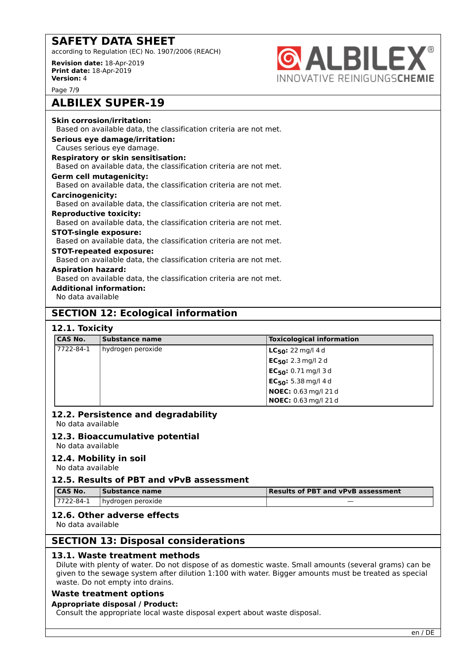according to Regulation (EC) No. 1907/2006 (REACH)

**Revision date:** 18-Apr-2019 **Print date:** 18-Apr-2019 **Version:** 4



Page 7/9

# **ALBILEX SUPER-19**

| <b>Skin corrosion/irritation:</b><br>Based on available data, the classification criteria are not met. |
|--------------------------------------------------------------------------------------------------------|
| Serious eye damage/irritation:                                                                         |
| Causes serious eye damage.                                                                             |
| <b>Respiratory or skin sensitisation:</b>                                                              |
| Based on available data, the classification criteria are not met.                                      |
| Germ cell mutagenicity:                                                                                |
| Based on available data, the classification criteria are not met.                                      |
| <b>Carcinogenicity:</b>                                                                                |
| Based on available data, the classification criteria are not met.                                      |
| <b>Reproductive toxicity:</b>                                                                          |
| Based on available data, the classification criteria are not met.                                      |
| <b>STOT-single exposure:</b>                                                                           |
| Based on available data, the classification criteria are not met.                                      |
| <b>STOT-repeated exposure:</b>                                                                         |
| Based on available data, the classification criteria are not met.                                      |
| <b>Aspiration hazard:</b>                                                                              |
| Based on available data, the classification criteria are not met.                                      |
| <b>Additional information:</b>                                                                         |

No data available

# **SECTION 12: Ecological information**

### **12.1. Toxicity**

| <b>CAS No.</b> | Substance name    | <b>Toxicological information</b>     |
|----------------|-------------------|--------------------------------------|
| 7722-84-1      | hydrogen peroxide | <b>LC<sub>50</sub>:</b> 22 mg/l 4 d  |
|                |                   | <b>EC<sub>50</sub>:</b> 2.3 mg/l 2 d |
|                |                   | $EC_{50}$ : 0.71 mg/l 3 d            |
|                |                   | $EC_{50}$ : 5.38 mg/l 4 d            |
|                |                   | NOEC: 0.63 mg/l 21 d                 |
|                |                   | <b>NOEC:</b> 0.63 mg/l 21 d          |

### **12.2. Persistence and degradability**

No data available

### **12.3. Bioaccumulative potential**

No data available

### **12.4. Mobility in soil**

No data available

### **12.5. Results of PBT and vPvB assessment**

| <b>CAS No.</b> | Substance name     | Results of PBT and vPvB assessment |
|----------------|--------------------|------------------------------------|
| 17722-84-1     | ⊺hvdrogen peroxide | _                                  |

### **12.6. Other adverse effects**

No data available

### **SECTION 13: Disposal considerations**

### **13.1. Waste treatment methods**

Dilute with plenty of water. Do not dispose of as domestic waste. Small amounts (several grams) can be given to the sewage system after dilution 1:100 with water. Bigger amounts must be treated as special waste. Do not empty into drains.

### **Waste treatment options**

### **Appropriate disposal / Product:**

Consult the appropriate local waste disposal expert about waste disposal.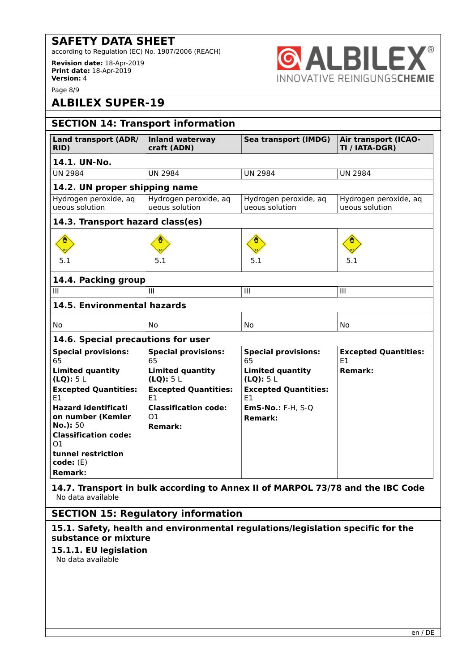according to Regulation (EC) No. 1907/2006 (REACH)

**Revision date:** 18-Apr-2019 **Print date:** 18-Apr-2019 **Version:** 4



Page 8/9

# **ALBILEX SUPER-19**

| <b>SECTION 14: Transport information</b>        |                                               |                                            |                                               |
|-------------------------------------------------|-----------------------------------------------|--------------------------------------------|-----------------------------------------------|
| Land transport (ADR/<br>RID)                    | <b>Inland waterway</b><br>craft (ADN)         | Sea transport (IMDG)                       | <b>Air transport (ICAO-</b><br>TI / IATA-DGR) |
| 14.1. UN-No.                                    |                                               |                                            |                                               |
| <b>UN 2984</b>                                  | <b>UN 2984</b>                                | <b>UN 2984</b>                             | <b>UN 2984</b>                                |
| 14.2. UN proper shipping name                   |                                               |                                            |                                               |
| Hydrogen peroxide, aq<br>ueous solution         | Hydrogen peroxide, aq<br>ueous solution       | Hydrogen peroxide, aq<br>ueous solution    | Hydrogen peroxide, aq<br>ueous solution       |
| 14.3. Transport hazard class(es)                |                                               |                                            |                                               |
|                                                 |                                               |                                            |                                               |
| 5.1                                             | 5.1                                           | 5.1                                        | 5.1                                           |
| 14.4. Packing group                             |                                               |                                            |                                               |
| III                                             | III                                           | III                                        | III                                           |
| 14.5. Environmental hazards                     |                                               |                                            |                                               |
| No                                              | No                                            | No                                         | No                                            |
| 14.6. Special precautions for user              |                                               |                                            |                                               |
| <b>Special provisions:</b><br>65                | <b>Special provisions:</b><br>65              | <b>Special provisions:</b><br>65           | <b>Excepted Quantities:</b><br>E1             |
| <b>Limited quantity</b><br>(LQ): 5L             | <b>Limited quantity</b><br>(LQ): 5L           | <b>Limited quantity</b><br>(LQ): 5L        | <b>Remark:</b>                                |
| <b>Excepted Quantities:</b><br>E1               | <b>Excepted Quantities:</b><br>E1             | <b>Excepted Quantities:</b><br>E1          |                                               |
| <b>Hazard identificati</b><br>on number (Kemler | <b>Classification code:</b><br>O <sub>1</sub> | <b>EmS-No.: F-H, S-Q</b><br><b>Remark:</b> |                                               |
| No.): 50<br><b>Classification code:</b>         | <b>Remark:</b>                                |                                            |                                               |
| 01                                              |                                               |                                            |                                               |
| tunnel restriction<br>code: (E)                 |                                               |                                            |                                               |
| <b>Remark:</b>                                  |                                               |                                            |                                               |

**14.7. Transport in bulk according to Annex II of MARPOL 73/78 and the IBC Code** No data available

### **SECTION 15: Regulatory information**

**15.1. Safety, health and environmental regulations/legislation specific for the substance or mixture**

### **15.1.1. EU legislation**

No data available